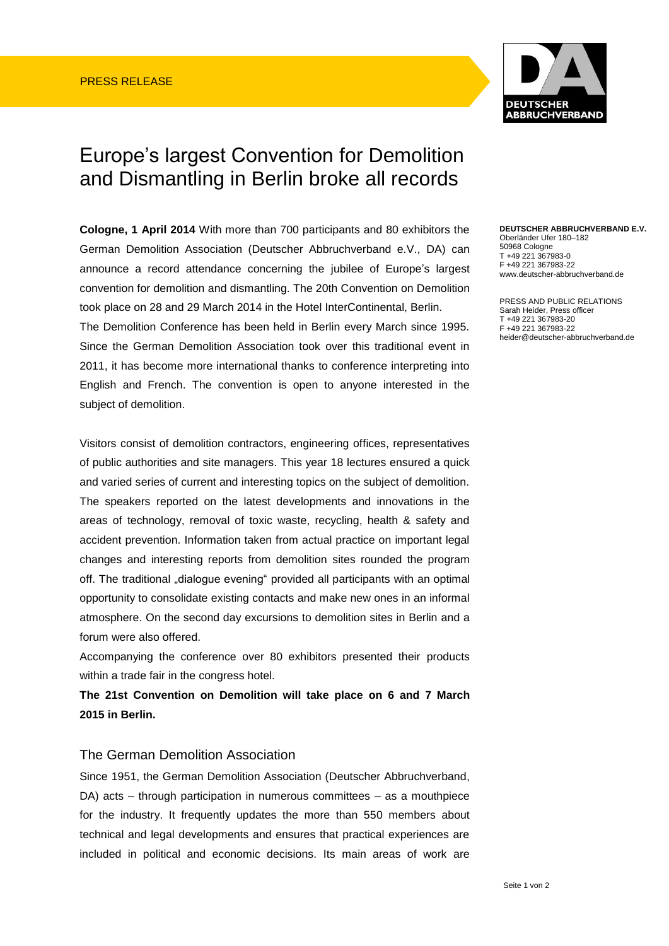

## Europe's largest Convention for Demolition and Dismantling in Berlin broke all records

**Cologne, 1 April 2014** With more than 700 participants and 80 exhibitors the German Demolition Association (Deutscher Abbruchverband e.V., DA) can announce a record attendance concerning the jubilee of Europe's largest convention for demolition and dismantling. The 20th Convention on Demolition took place on 28 and 29 March 2014 in the Hotel InterContinental, Berlin.

The Demolition Conference has been held in Berlin every March since 1995. Since the German Demolition Association took over this traditional event in 2011, it has become more international thanks to conference interpreting into English and French. The convention is open to anyone interested in the subject of demolition.

Visitors consist of demolition contractors, engineering offices, representatives of public authorities and site managers. This year 18 lectures ensured a quick and varied series of current and interesting topics on the subject of demolition. The speakers reported on the latest developments and innovations in the areas of technology, removal of toxic waste, recycling, health & safety and accident prevention. Information taken from actual practice on important legal changes and interesting reports from demolition sites rounded the program off. The traditional "dialogue evening" provided all participants with an optimal opportunity to consolidate existing contacts and make new ones in an informal atmosphere. On the second day excursions to demolition sites in Berlin and a forum were also offered.

Accompanying the conference over 80 exhibitors presented their products within a trade fair in the congress hotel.

**The 21st Convention on Demolition will take place on 6 and 7 March 2015 in Berlin.**

## The German Demolition Association

Since 1951, the German Demolition Association (Deutscher Abbruchverband, DA) acts – through participation in numerous committees – as a mouthpiece for the industry. It frequently updates the more than 550 members about technical and legal developments and ensures that practical experiences are included in political and economic decisions. Its main areas of work are

## **DEUTSCHER ABBRUCHVERBAND E.V.**  Oberländer Ufer 180–182 50968 Cologne T +49 221 367983-0 F +49 221 367983-22

PRESS AND PUBLIC RELATIONS Sarah Heider, Press officer T +49 221 367983-20

www.deutscher-abbruchverband.de

F +49 221 367983-22 heider@deutscher-abbruchverband.de